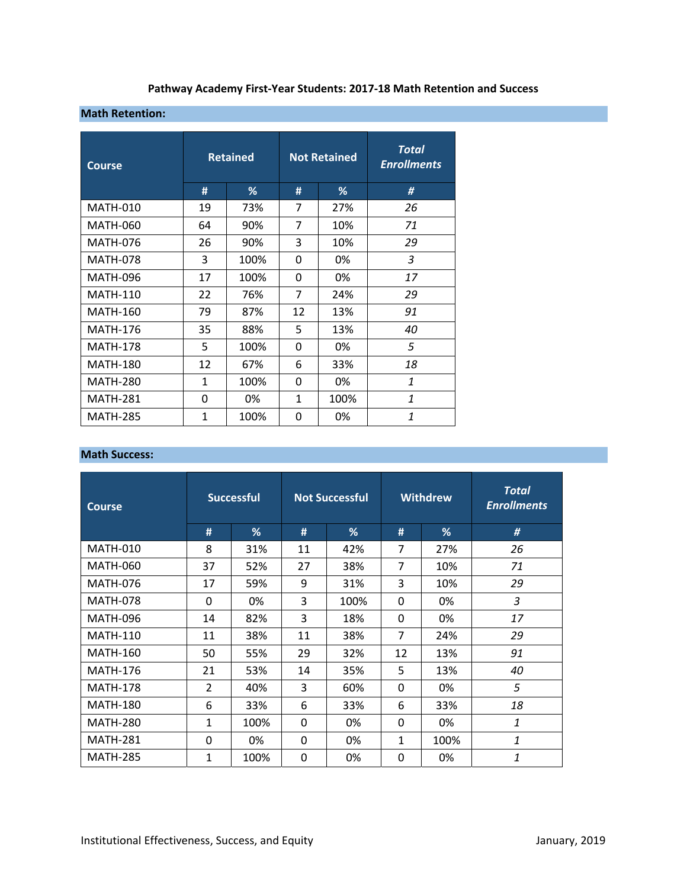# **Pathway Academy First‐Year Students: 2017‐18 Math Retention and Success**

#### **Math Retention:**

| <b>Course</b>   | <b>Retained</b> |      |    | <b>Not Retained</b> | Total<br><b>Enrollments</b> |
|-----------------|-----------------|------|----|---------------------|-----------------------------|
|                 | #               | %    | #  | %                   | #                           |
| <b>MATH-010</b> | 19              | 73%  | 7  | 27%                 | 26                          |
| <b>MATH-060</b> | 64              | 90%  | 7  | 10%                 | 71                          |
| <b>MATH-076</b> | 26              | 90%  | 3  | 10%                 | 29                          |
| <b>MATH-078</b> | 3               | 100% | 0  | 0%                  | 3                           |
| <b>MATH-096</b> | 17              | 100% | 0  | 0%                  | 17                          |
| <b>MATH-110</b> | 22              | 76%  | 7  | 24%                 | 29                          |
| <b>MATH-160</b> | 79              | 87%  | 12 | 13%                 | 91                          |
| <b>MATH-176</b> | 35              | 88%  | 5  | 13%                 | 40                          |
| <b>MATH-178</b> | 5               | 100% | 0  | 0%                  | 5                           |
| <b>MATH-180</b> | 12              | 67%  | 6  | 33%                 | 18                          |
| <b>MATH-280</b> | $\mathbf{1}$    | 100% | 0  | 0%                  | 1                           |
| <b>MATH-281</b> | $\Omega$        | 0%   | 1  | 100%                | $\mathbf{1}$                |
| <b>MATH-285</b> | 1               | 100% | 0  | 0%                  | 1                           |

#### **Math Success:**

| <b>Course</b>   | <b>Successful</b> |      | <b>Not Successful</b> |      | <b>Withdrew</b> |      | <b>Total</b><br><b>Enrollments</b> |
|-----------------|-------------------|------|-----------------------|------|-----------------|------|------------------------------------|
|                 | #                 | %    | #                     | %    | #               | %    | #                                  |
| <b>MATH-010</b> | 8                 | 31%  | 11                    | 42%  | 7               | 27%  | 26                                 |
| MATH-060        | 37                | 52%  | 27                    | 38%  | 7               | 10%  | 71                                 |
| <b>MATH-076</b> | 17                | 59%  | 9                     | 31%  | 3               | 10%  | 29                                 |
| <b>MATH-078</b> | $\Omega$          | 0%   | 3                     | 100% | $\Omega$        | 0%   | 3                                  |
| <b>MATH-096</b> | 14                | 82%  | 3                     | 18%  | $\Omega$        | 0%   | 17                                 |
| <b>MATH-110</b> | 11                | 38%  | 11                    | 38%  | 7               | 24%  | 29                                 |
| <b>MATH-160</b> | 50                | 55%  | 29                    | 32%  | 12              | 13%  | 91                                 |
| <b>MATH-176</b> | 21                | 53%  | 14                    | 35%  | 5               | 13%  | 40                                 |
| <b>MATH-178</b> | $\overline{2}$    | 40%  | 3                     | 60%  | $\Omega$        | 0%   | 5                                  |
| <b>MATH-180</b> | 6                 | 33%  | 6                     | 33%  | 6               | 33%  | 18                                 |
| <b>MATH-280</b> | 1                 | 100% | 0                     | 0%   | 0               | 0%   | 1                                  |
| <b>MATH-281</b> | $\Omega$          | 0%   | 0                     | 0%   | 1               | 100% | 1                                  |
| <b>MATH-285</b> | 1                 | 100% | 0                     | 0%   | $\Omega$        | 0%   | 1                                  |